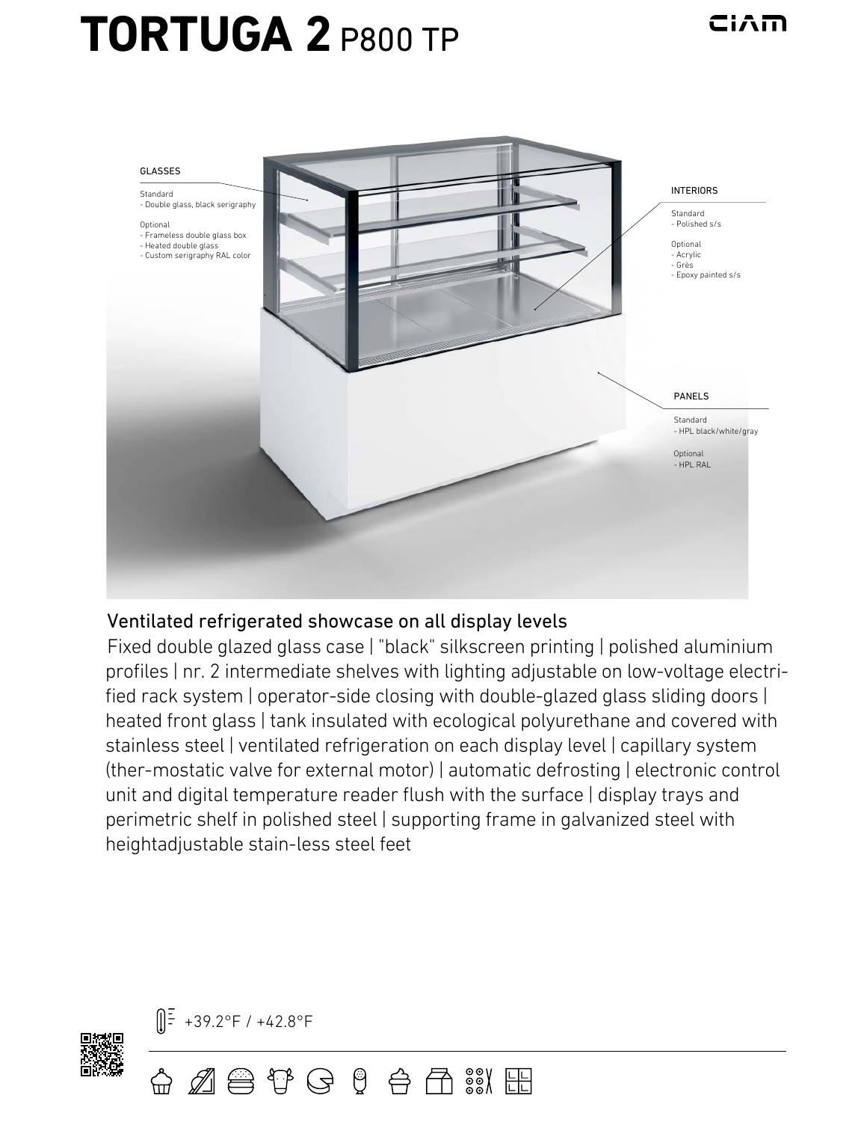## **TORTUGA 2** P800 TP



## Ventilated refrigerated showcase on all display levels

鲁伊安!乌角%%

Fixed double glazed glass case | "black" silkscreen printing | polished aluminium profiles | nr. 2 intermediate shelves with lighting adjustable on low-voltage electrified rack system | operator-side closing with double-glazed glass sliding doors | heated front glass | tank insulated with ecological polyurethane and covered with stainless steel | ventilated refrigeration on each display level | capillary system (ther-mostatic valve for external motor) | automatic defrosting | electronic control unit and digital temperature reader flush with the surface | display trays and perimetric shelf in polished steel | supporting frame in galvanized steel with heightadjustable stain-less steel feet

![](_page_0_Picture_5.jpeg)